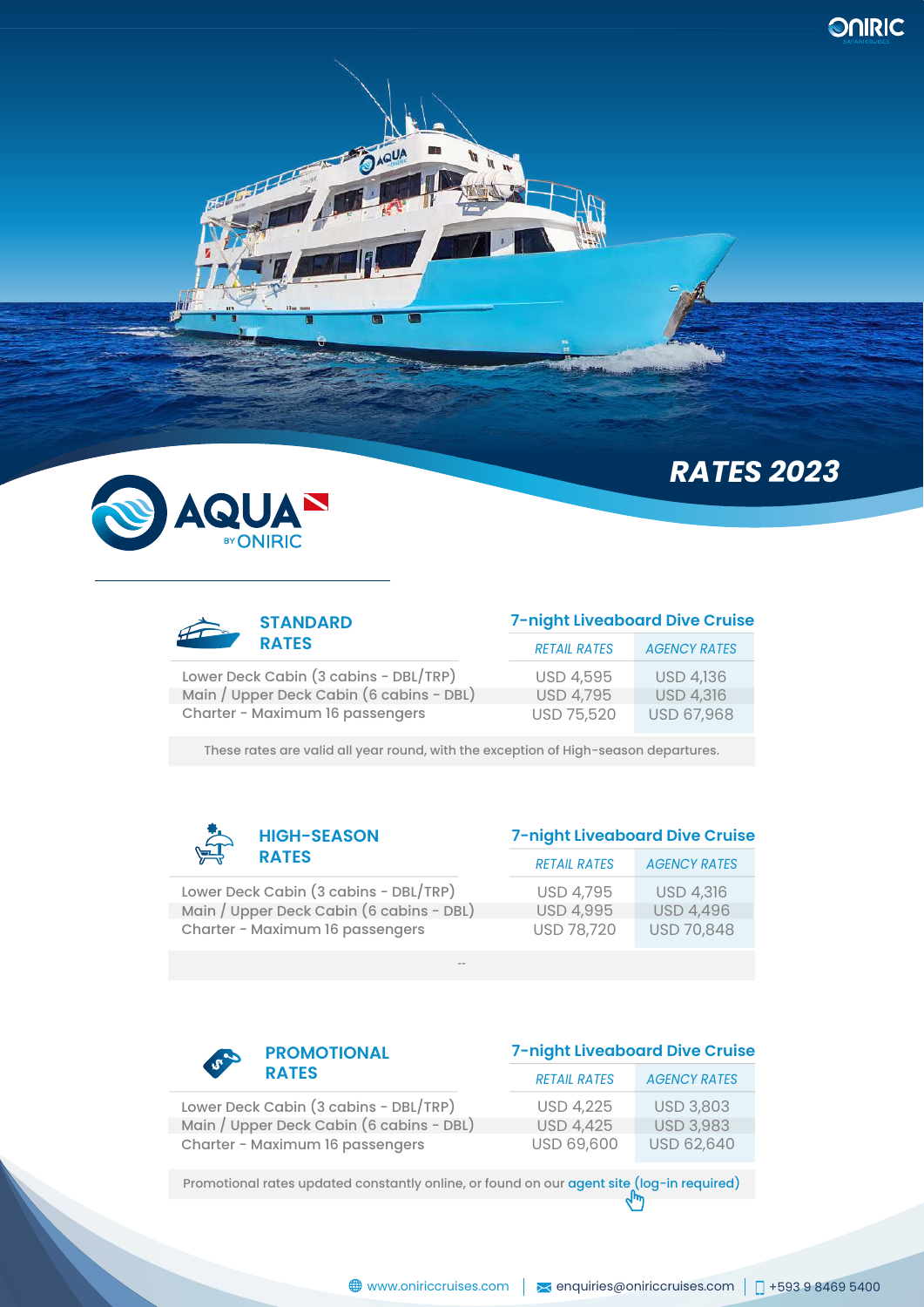



Lower Deck Cabin (3 cabins - DBL/TRP) Main / Upper Deck Cabin (6 cabins - DBL) Charter - Maximum 16 passengers

| 7-night Liveaboard Dive Cruise |  |
|--------------------------------|--|
|--------------------------------|--|

*RATES 2023*

| <b>RFTAIL RATES</b> | <b>AGENCY RATES</b> |
|---------------------|---------------------|
| USD 4,595           | <b>USD 4,136</b>    |
| <b>USD 4,795</b>    | <b>USD 4,316</b>    |
| USD 75,520          | USD 67,968          |

These rates are valid all year round, with the exception of High-season departures.

--



Lower Deck Cabin (3 cabins - DBL/TRP) Main / Upper Deck Cabin (6 cabins - DBL) Charter - Maximum 16 passengers

#### **7-night Liveaboard Dive Cruise**

| <b>RETAIL RATES</b> | <b>AGENCY RATES</b> |
|---------------------|---------------------|
| USD 4,795           | <b>USD 4,316</b>    |
| <b>USD 4,995</b>    | <b>USD 4,496</b>    |
| USD 78,720          | USD 70,848          |



# **7-night Liveaboard Dive Cruise**

| .                                        | RETAIL RATES     | <b>AGENCY RAILS</b> |
|------------------------------------------|------------------|---------------------|
| Lower Deck Cabin (3 cabins - DBL/TRP)    | <b>USD 4.225</b> | <b>USD 3,803</b>    |
| Main / Upper Deck Cabin (6 cabins - DBL) | <b>USD 4.425</b> | <b>USD 3,983</b>    |
| Charter - Maximum 16 passengers          | USD 69,600       | <b>USD 62,640</b>   |

Promotional rates updated constantly online, or found on our agent site (log-in required)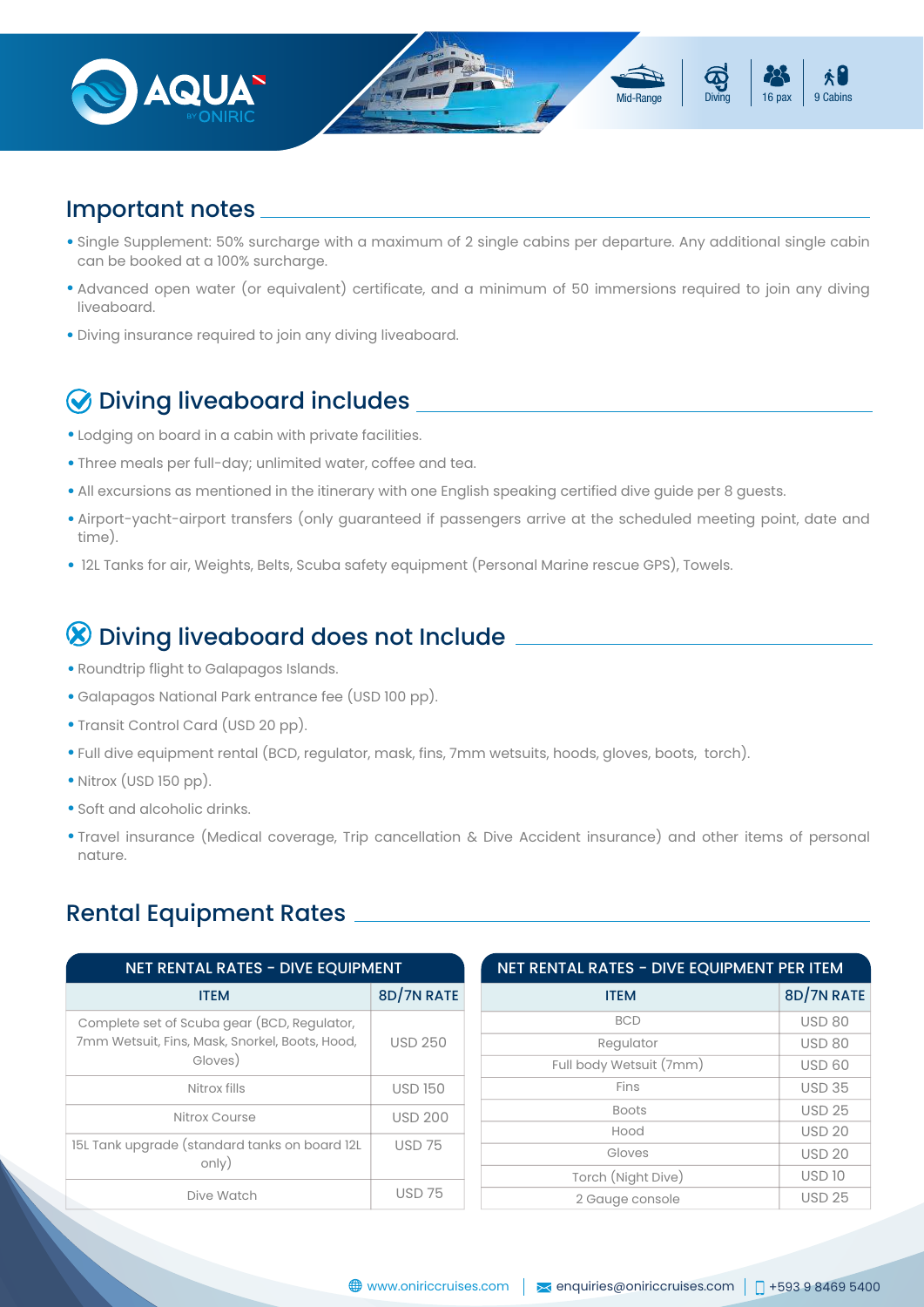

## Important notes

- Single Supplement: 50% surcharge with a maximum of 2 single cabins per departure. Any additional single cabin can be booked at a 100% surcharge.
- Advanced open water (or equivalent) certificate, and a minimum of 50 immersions required to join any diving liveaboard.
- Diving insurance required to join any diving liveaboard. •

# Diving liveaboard includes

- Lodging on board in a cabin with private facilities.
- Three meals per full-day; unlimited water, coffee and tea.
- All excursions as mentioned in the itinerary with one English speaking certified dive guide per 8 guests.
- Airport-yacht-airport transfers (only guaranteed if passengers arrive at the scheduled meeting point, date and time).
- 12L Tanks for air, Weights, Belts, Scuba safety equipment (Personal Marine rescue GPS), Towels.

# Diving liveaboard does not Include

- Roundtrip flight to Galapagos Islands.
- Galapagos National Park entrance fee (USD 100 pp).
- Transit Control Card (USD 20 pp).
- Full dive equipment rental (BCD, regulator, mask, fins, 7mm wetsuits, hoods, gloves, boots, torch).
- Nitrox (USD 150 pp).
- Soft and alcoholic drinks.
- Travel insurance (Medical coverage, Trip cancellation & Dive Accident insurance) and other items of personal nature.

### Rental Equipment Rates

| <b>NET RENTAL RATES - DIVE EQUIPMENT</b>                                                               |                 | NET RENTAL RATES - DIVE EQUIPMENT PER ITEM |               |
|--------------------------------------------------------------------------------------------------------|-----------------|--------------------------------------------|---------------|
| <b>ITEM</b>                                                                                            | 8D/7N RATE      | <b>ITEM</b>                                | 8D/7N RATE    |
| Complete set of Scuba gear (BCD, Regulator,                                                            |                 | <b>BCD</b>                                 | <b>USD 80</b> |
| 7mm Wetsuit, Fins, Mask, Snorkel, Boots, Hood,                                                         | <b>USD 250</b>  | Regulator                                  | <b>USD 80</b> |
| Gloves)                                                                                                |                 | Full body Wetsuit (7mm)                    | <b>USD 60</b> |
| Nitrox fills                                                                                           | <b>USD 150</b>  | Fins                                       | <b>USD 35</b> |
| Nitrox Course                                                                                          | <b>USD 200</b>  | <b>Boots</b>                               | <b>USD 25</b> |
|                                                                                                        |                 | Hood                                       | <b>USD 20</b> |
| 15L Tank upgrade (standard tanks on board 12L<br><b>USD 75</b><br>only)<br><b>USD 75</b><br>Dive Watch |                 | Gloves                                     | <b>USD 20</b> |
|                                                                                                        |                 | Torch (Night Dive)                         | <b>USD 10</b> |
|                                                                                                        | 2 Gauge console | <b>USD 25</b>                              |               |